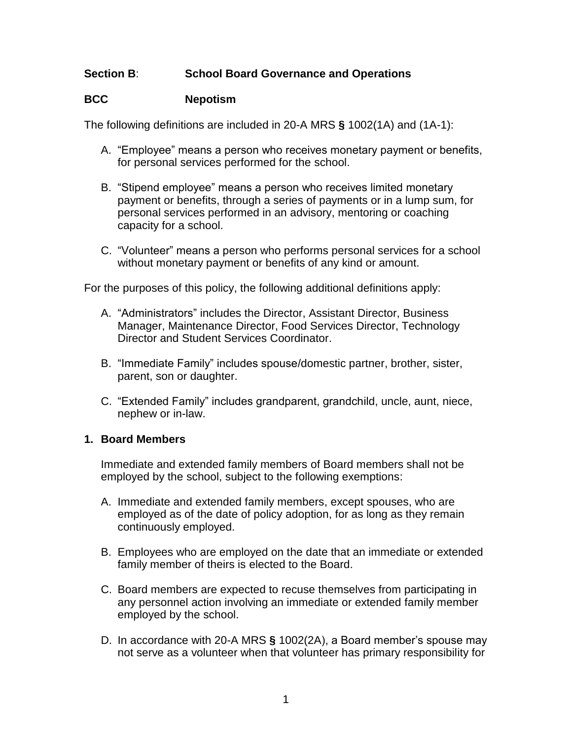## **Section B**: **School Board Governance and Operations**

### **BCC Nepotism**

The following definitions are included in 20-A MRS **§** 1002(1A) and (1A-1):

- A. "Employee" means a person who receives monetary payment or benefits, for personal services performed for the school.
- B. "Stipend employee" means a person who receives limited monetary payment or benefits, through a series of payments or in a lump sum, for personal services performed in an advisory, mentoring or coaching capacity for a school.
- C. "Volunteer" means a person who performs personal services for a school without monetary payment or benefits of any kind or amount.

For the purposes of this policy, the following additional definitions apply:

- A. "Administrators" includes the Director, Assistant Director, Business Manager, Maintenance Director, Food Services Director, Technology Director and Student Services Coordinator.
- B. "Immediate Family" includes spouse/domestic partner, brother, sister, parent, son or daughter.
- C. "Extended Family" includes grandparent, grandchild, uncle, aunt, niece, nephew or in-law.

#### **1. Board Members**

Immediate and extended family members of Board members shall not be employed by the school, subject to the following exemptions:

- A. Immediate and extended family members, except spouses, who are employed as of the date of policy adoption, for as long as they remain continuously employed.
- B. Employees who are employed on the date that an immediate or extended family member of theirs is elected to the Board.
- C. Board members are expected to recuse themselves from participating in any personnel action involving an immediate or extended family member employed by the school.
- D. In accordance with 20-A MRS **§** 1002(2A), a Board member's spouse may not serve as a volunteer when that volunteer has primary responsibility for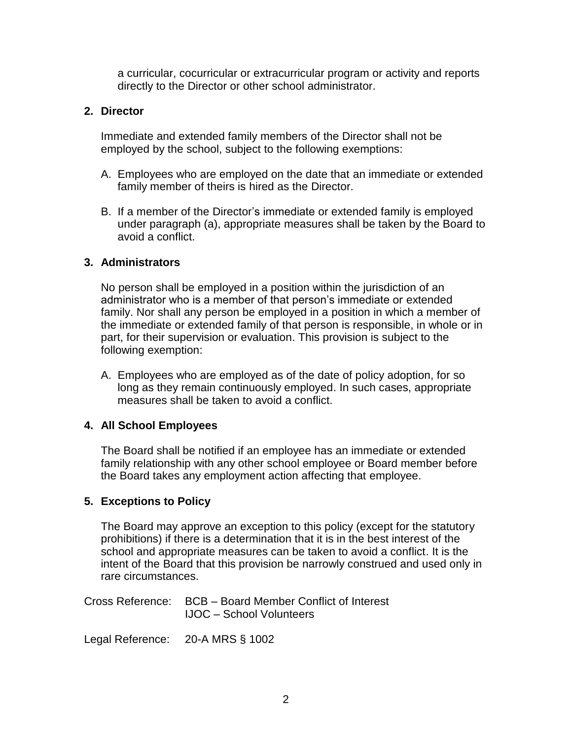a curricular, cocurricular or extracurricular program or activity and reports directly to the Director or other school administrator.

## **2. Director**

Immediate and extended family members of the Director shall not be employed by the school, subject to the following exemptions:

- A. Employees who are employed on the date that an immediate or extended family member of theirs is hired as the Director.
- B. If a member of the Director's immediate or extended family is employed under paragraph (a), appropriate measures shall be taken by the Board to avoid a conflict.

## **3. Administrators**

No person shall be employed in a position within the jurisdiction of an administrator who is a member of that person's immediate or extended family. Nor shall any person be employed in a position in which a member of the immediate or extended family of that person is responsible, in whole or in part, for their supervision or evaluation. This provision is subject to the following exemption:

A. Employees who are employed as of the date of policy adoption, for so long as they remain continuously employed. In such cases, appropriate measures shall be taken to avoid a conflict.

# **4. All School Employees**

The Board shall be notified if an employee has an immediate or extended family relationship with any other school employee or Board member before the Board takes any employment action affecting that employee.

## **5. Exceptions to Policy**

The Board may approve an exception to this policy (except for the statutory prohibitions) if there is a determination that it is in the best interest of the school and appropriate measures can be taken to avoid a conflict. It is the intent of the Board that this provision be narrowly construed and used only in rare circumstances.

Cross Reference: BCB – Board Member Conflict of Interest IJOC – School Volunteers

Legal Reference: 20-A MRS § 1002